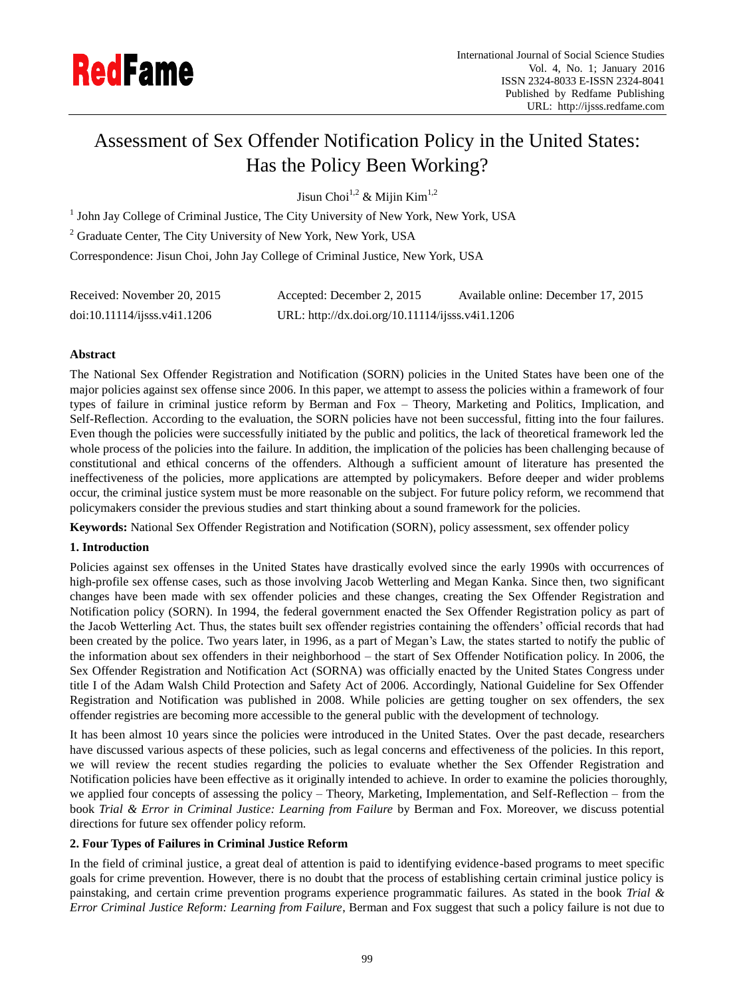

# Assessment of Sex Offender Notification Policy in the United States: Has the Policy Been Working?

Jisun Choi<sup>1,2</sup> & Mijin Kim<sup>1,2</sup>

<sup>1</sup> John Jay College of Criminal Justice, The City University of New York, New York, USA

<sup>2</sup> Graduate Center, The City University of New York, New York, USA

Correspondence: Jisun Choi, John Jay College of Criminal Justice, New York, USA

| Received: November 20, 2015      | Accepted: December 2, 2015                      | Available online: December 17, 2015 |
|----------------------------------|-------------------------------------------------|-------------------------------------|
| $doi:10.11114/i$ isss. v4i1.1206 | URL: http://dx.doi.org/10.11114/ijsss.v4i1.1206 |                                     |

## **Abstract**

The National Sex Offender Registration and Notification (SORN) policies in the United States have been one of the major policies against sex offense since 2006. In this paper, we attempt to assess the policies within a framework of four types of failure in criminal justice reform by Berman and Fox – Theory, Marketing and Politics, Implication, and Self-Reflection. According to the evaluation, the SORN policies have not been successful, fitting into the four failures. Even though the policies were successfully initiated by the public and politics, the lack of theoretical framework led the whole process of the policies into the failure. In addition, the implication of the policies has been challenging because of constitutional and ethical concerns of the offenders. Although a sufficient amount of literature has presented the ineffectiveness of the policies, more applications are attempted by policymakers. Before deeper and wider problems occur, the criminal justice system must be more reasonable on the subject. For future policy reform, we recommend that policymakers consider the previous studies and start thinking about a sound framework for the policies.

**Keywords:** National Sex Offender Registration and Notification (SORN), policy assessment, sex offender policy

## **1. Introduction**

Policies against sex offenses in the United States have drastically evolved since the early 1990s with occurrences of high-profile sex offense cases, such as those involving Jacob Wetterling and Megan Kanka. Since then, two significant changes have been made with sex offender policies and these changes, creating the Sex Offender Registration and Notification policy (SORN). In 1994, the federal government enacted the Sex Offender Registration policy as part of the Jacob Wetterling Act. Thus, the states built sex offender registries containing the offenders" official records that had been created by the police. Two years later, in 1996, as a part of Megan's Law, the states started to notify the public of the information about sex offenders in their neighborhood – the start of Sex Offender Notification policy. In 2006, the Sex Offender Registration and Notification Act (SORNA) was officially enacted by the United States Congress under title I of the Adam Walsh Child Protection and Safety Act of 2006. Accordingly, National Guideline for Sex Offender Registration and Notification was published in 2008. While policies are getting tougher on sex offenders, the sex offender registries are becoming more accessible to the general public with the development of technology.

It has been almost 10 years since the policies were introduced in the United States. Over the past decade, researchers have discussed various aspects of these policies, such as legal concerns and effectiveness of the policies. In this report, we will review the recent studies regarding the policies to evaluate whether the Sex Offender Registration and Notification policies have been effective as it originally intended to achieve. In order to examine the policies thoroughly, we applied four concepts of assessing the policy – Theory, Marketing, Implementation, and Self-Reflection – from the book *Trial & Error in Criminal Justice: Learning from Failure* by Berman and Fox. Moreover, we discuss potential directions for future sex offender policy reform.

## **2. Four Types of Failures in Criminal Justice Reform**

In the field of criminal justice, a great deal of attention is paid to identifying evidence-based programs to meet specific goals for crime prevention. However, there is no doubt that the process of establishing certain criminal justice policy is painstaking, and certain crime prevention programs experience programmatic failures. As stated in the book *Trial & Error Criminal Justice Reform: Learning from Failure*, Berman and Fox suggest that such a policy failure is not due to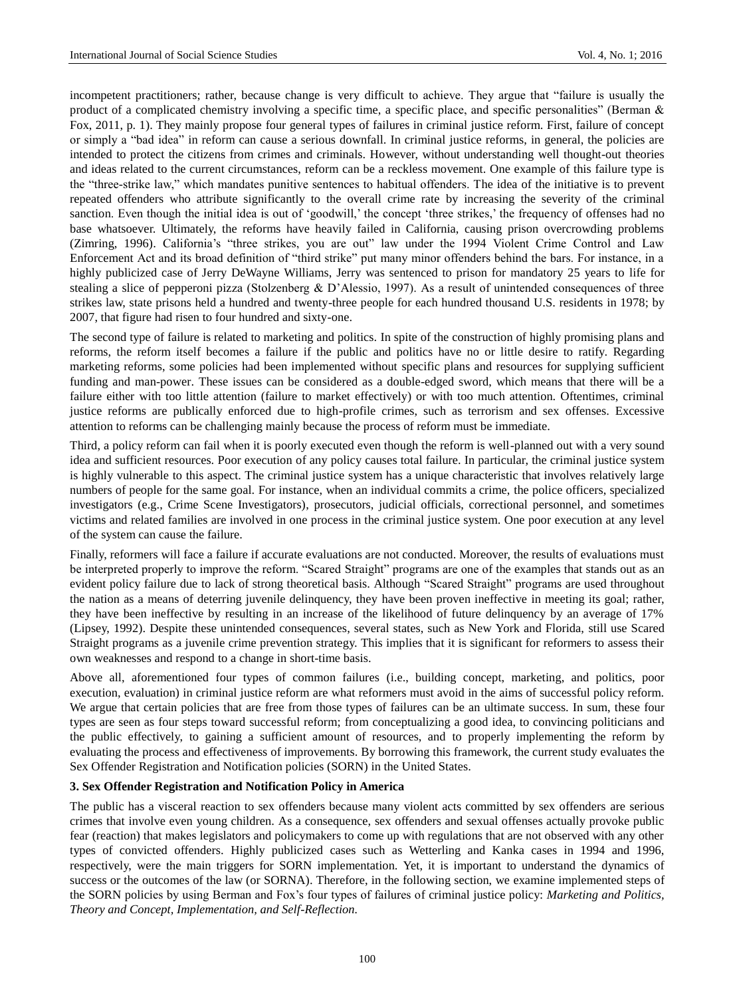incompetent practitioners; rather, because change is very difficult to achieve. They argue that "failure is usually the product of a complicated chemistry involving a specific time, a specific place, and specific personalities" (Berman & Fox, 2011, p. 1). They mainly propose four general types of failures in criminal justice reform. First, failure of concept or simply a "bad idea" in reform can cause a serious downfall. In criminal justice reforms, in general, the policies are intended to protect the citizens from crimes and criminals. However, without understanding well thought-out theories and ideas related to the current circumstances, reform can be a reckless movement. One example of this failure type is the "three-strike law," which mandates punitive sentences to habitual offenders. The idea of the initiative is to prevent repeated offenders who attribute significantly to the overall crime rate by increasing the severity of the criminal sanction. Even though the initial idea is out of 'goodwill,' the concept 'three strikes,' the frequency of offenses had no base whatsoever. Ultimately, the reforms have heavily failed in California, causing prison overcrowding problems (Zimring, 1996). California's "three strikes, you are out" law under the 1994 Violent Crime Control and Law Enforcement Act and its broad definition of "third strike" put many minor offenders behind the bars. For instance, in a highly publicized case of Jerry DeWayne Williams, Jerry was sentenced to prison for mandatory 25 years to life for stealing a slice of pepperoni pizza (Stolzenberg & D"Alessio, 1997). As a result of unintended consequences of three strikes law, state prisons held a hundred and twenty-three people for each hundred thousand U.S. residents in 1978; by 2007, that figure had risen to four hundred and sixty-one.

The second type of failure is related to marketing and politics. In spite of the construction of highly promising plans and reforms, the reform itself becomes a failure if the public and politics have no or little desire to ratify. Regarding marketing reforms, some policies had been implemented without specific plans and resources for supplying sufficient funding and man-power. These issues can be considered as a double-edged sword, which means that there will be a failure either with too little attention (failure to market effectively) or with too much attention. Oftentimes, criminal justice reforms are publically enforced due to high-profile crimes, such as terrorism and sex offenses. Excessive attention to reforms can be challenging mainly because the process of reform must be immediate.

Third, a policy reform can fail when it is poorly executed even though the reform is well-planned out with a very sound idea and sufficient resources. Poor execution of any policy causes total failure. In particular, the criminal justice system is highly vulnerable to this aspect. The criminal justice system has a unique characteristic that involves relatively large numbers of people for the same goal. For instance, when an individual commits a crime, the police officers, specialized investigators (e.g., Crime Scene Investigators), prosecutors, judicial officials, correctional personnel, and sometimes victims and related families are involved in one process in the criminal justice system. One poor execution at any level of the system can cause the failure.

Finally, reformers will face a failure if accurate evaluations are not conducted. Moreover, the results of evaluations must be interpreted properly to improve the reform. "Scared Straight" programs are one of the examples that stands out as an evident policy failure due to lack of strong theoretical basis. Although "Scared Straight" programs are used throughout the nation as a means of deterring juvenile delinquency, they have been proven ineffective in meeting its goal; rather, they have been ineffective by resulting in an increase of the likelihood of future delinquency by an average of 17% (Lipsey, 1992). Despite these unintended consequences, several states, such as New York and Florida, still use Scared Straight programs as a juvenile crime prevention strategy. This implies that it is significant for reformers to assess their own weaknesses and respond to a change in short-time basis.

Above all, aforementioned four types of common failures (i.e., building concept, marketing, and politics, poor execution, evaluation) in criminal justice reform are what reformers must avoid in the aims of successful policy reform. We argue that certain policies that are free from those types of failures can be an ultimate success. In sum, these four types are seen as four steps toward successful reform; from conceptualizing a good idea, to convincing politicians and the public effectively, to gaining a sufficient amount of resources, and to properly implementing the reform by evaluating the process and effectiveness of improvements. By borrowing this framework, the current study evaluates the Sex Offender Registration and Notification policies (SORN) in the United States.

### **3. Sex Offender Registration and Notification Policy in America**

The public has a visceral reaction to sex offenders because many violent acts committed by sex offenders are serious crimes that involve even young children. As a consequence, sex offenders and sexual offenses actually provoke public fear (reaction) that makes legislators and policymakers to come up with regulations that are not observed with any other types of convicted offenders. Highly publicized cases such as Wetterling and Kanka cases in 1994 and 1996, respectively, were the main triggers for SORN implementation. Yet, it is important to understand the dynamics of success or the outcomes of the law (or SORNA). Therefore, in the following section, we examine implemented steps of the SORN policies by using Berman and Fox"s four types of failures of criminal justice policy: *Marketing and Politics, Theory and Concept, Implementation, and Self-Reflection.*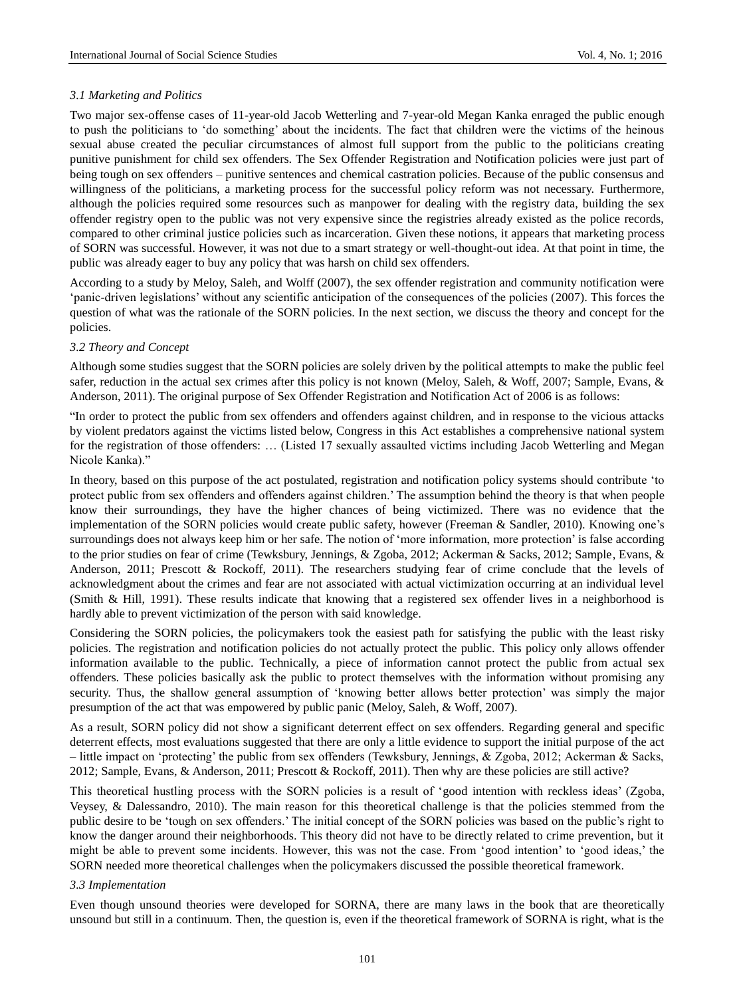### *3.1 Marketing and Politics*

Two major sex-offense cases of 11-year-old Jacob Wetterling and 7-year-old Megan Kanka enraged the public enough to push the politicians to "do something" about the incidents. The fact that children were the victims of the heinous sexual abuse created the peculiar circumstances of almost full support from the public to the politicians creating punitive punishment for child sex offenders. The Sex Offender Registration and Notification policies were just part of being tough on sex offenders – punitive sentences and chemical castration policies. Because of the public consensus and willingness of the politicians, a marketing process for the successful policy reform was not necessary. Furthermore, although the policies required some resources such as manpower for dealing with the registry data, building the sex offender registry open to the public was not very expensive since the registries already existed as the police records, compared to other criminal justice policies such as incarceration. Given these notions, it appears that marketing process of SORN was successful. However, it was not due to a smart strategy or well-thought-out idea. At that point in time, the public was already eager to buy any policy that was harsh on child sex offenders.

According to a study by Meloy, Saleh, and Wolff (2007), the sex offender registration and community notification were "panic-driven legislations" without any scientific anticipation of the consequences of the policies (2007). This forces the question of what was the rationale of the SORN policies. In the next section, we discuss the theory and concept for the policies.

### *3.2 Theory and Concept*

Although some studies suggest that the SORN policies are solely driven by the political attempts to make the public feel safer, reduction in the actual sex crimes after this policy is not known (Meloy, Saleh, & Woff, 2007; Sample, Evans, & Anderson, 2011). The original purpose of Sex Offender Registration and Notification Act of 2006 is as follows:

"In order to protect the public from sex offenders and offenders against children, and in response to the vicious attacks by violent predators against the victims listed below, Congress in this Act establishes a comprehensive national system for the registration of those offenders: … (Listed 17 sexually assaulted victims including Jacob Wetterling and Megan Nicole Kanka)."

In theory, based on this purpose of the act postulated, registration and notification policy systems should contribute "to protect public from sex offenders and offenders against children." The assumption behind the theory is that when people know their surroundings, they have the higher chances of being victimized. There was no evidence that the implementation of the SORN policies would create public safety, however (Freeman & Sandler, 2010). Knowing one's surroundings does not always keep him or her safe. The notion of 'more information, more protection' is false according to the prior studies on fear of crime (Tewksbury, Jennings, & Zgoba, 2012; Ackerman & Sacks, 2012; Sample, Evans, & Anderson, 2011; Prescott & Rockoff, 2011). The researchers studying fear of crime conclude that the levels of acknowledgment about the crimes and fear are not associated with actual victimization occurring at an individual level (Smith & Hill, 1991). These results indicate that knowing that a registered sex offender lives in a neighborhood is hardly able to prevent victimization of the person with said knowledge.

Considering the SORN policies, the policymakers took the easiest path for satisfying the public with the least risky policies. The registration and notification policies do not actually protect the public. This policy only allows offender information available to the public. Technically, a piece of information cannot protect the public from actual sex offenders. These policies basically ask the public to protect themselves with the information without promising any security. Thus, the shallow general assumption of "knowing better allows better protection" was simply the major presumption of the act that was empowered by public panic (Meloy, Saleh, & Woff, 2007).

As a result, SORN policy did not show a significant deterrent effect on sex offenders. Regarding general and specific deterrent effects, most evaluations suggested that there are only a little evidence to support the initial purpose of the act – little impact on "protecting" the public from sex offenders (Tewksbury, Jennings, & Zgoba, 2012; Ackerman & Sacks, 2012; Sample, Evans, & Anderson, 2011; Prescott & Rockoff, 2011). Then why are these policies are still active?

This theoretical hustling process with the SORN policies is a result of "good intention with reckless ideas" (Zgoba, Veysey, & Dalessandro, 2010). The main reason for this theoretical challenge is that the policies stemmed from the public desire to be "tough on sex offenders." The initial concept of the SORN policies was based on the public"s right to know the danger around their neighborhoods. This theory did not have to be directly related to crime prevention, but it might be able to prevent some incidents. However, this was not the case. From "good intention" to "good ideas," the SORN needed more theoretical challenges when the policymakers discussed the possible theoretical framework.

#### *3.3 Implementation*

Even though unsound theories were developed for SORNA, there are many laws in the book that are theoretically unsound but still in a continuum. Then, the question is, even if the theoretical framework of SORNA is right, what is the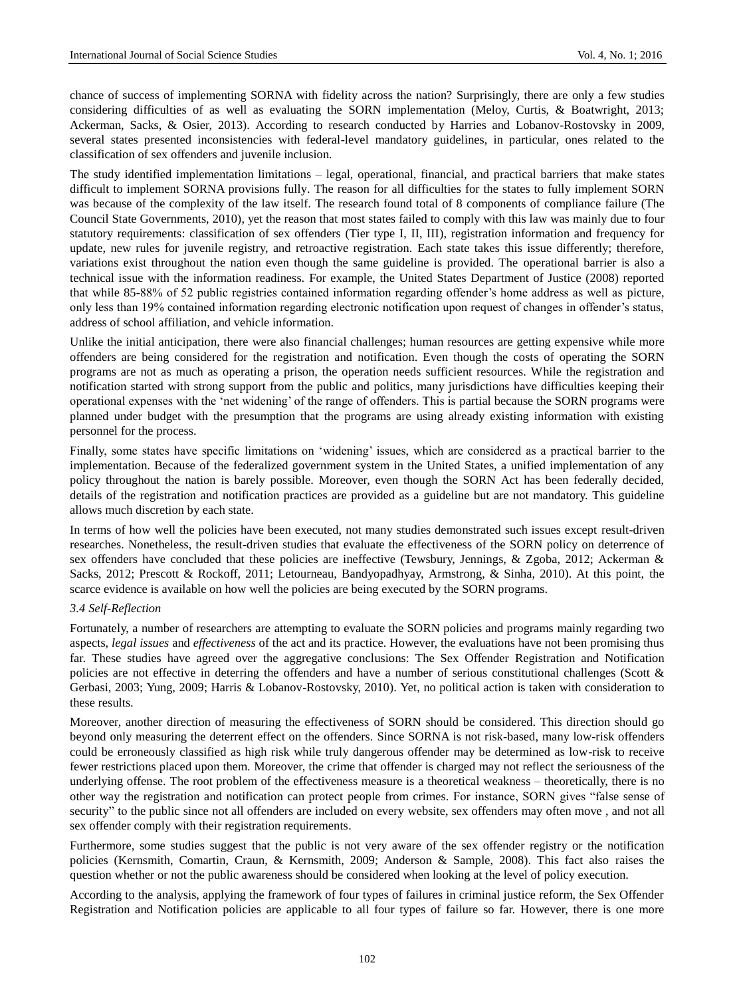chance of success of implementing SORNA with fidelity across the nation? Surprisingly, there are only a few studies considering difficulties of as well as evaluating the SORN implementation (Meloy, Curtis, & Boatwright, 2013; Ackerman, Sacks, & Osier, 2013). According to research conducted by Harries and Lobanov-Rostovsky in 2009, several states presented inconsistencies with federal-level mandatory guidelines, in particular, ones related to the classification of sex offenders and juvenile inclusion.

The study identified implementation limitations – legal, operational, financial, and practical barriers that make states difficult to implement SORNA provisions fully. The reason for all difficulties for the states to fully implement SORN was because of the complexity of the law itself. The research found total of 8 components of compliance failure (The Council State Governments, 2010), yet the reason that most states failed to comply with this law was mainly due to four statutory requirements: classification of sex offenders (Tier type I, II, III), registration information and frequency for update, new rules for juvenile registry, and retroactive registration. Each state takes this issue differently; therefore, variations exist throughout the nation even though the same guideline is provided. The operational barrier is also a technical issue with the information readiness. For example, the United States Department of Justice (2008) reported that while 85-88% of 52 public registries contained information regarding offender"s home address as well as picture, only less than 19% contained information regarding electronic notification upon request of changes in offender"s status, address of school affiliation, and vehicle information.

Unlike the initial anticipation, there were also financial challenges; human resources are getting expensive while more offenders are being considered for the registration and notification. Even though the costs of operating the SORN programs are not as much as operating a prison, the operation needs sufficient resources. While the registration and notification started with strong support from the public and politics, many jurisdictions have difficulties keeping their operational expenses with the "net widening" of the range of offenders. This is partial because the SORN programs were planned under budget with the presumption that the programs are using already existing information with existing personnel for the process.

Finally, some states have specific limitations on "widening" issues, which are considered as a practical barrier to the implementation. Because of the federalized government system in the United States, a unified implementation of any policy throughout the nation is barely possible. Moreover, even though the SORN Act has been federally decided, details of the registration and notification practices are provided as a guideline but are not mandatory. This guideline allows much discretion by each state.

In terms of how well the policies have been executed, not many studies demonstrated such issues except result-driven researches. Nonetheless, the result-driven studies that evaluate the effectiveness of the SORN policy on deterrence of sex offenders have concluded that these policies are ineffective (Tewsbury, Jennings, & Zgoba, 2012; Ackerman & Sacks, 2012; Prescott & Rockoff, 2011; Letourneau, Bandyopadhyay, Armstrong, & Sinha, 2010). At this point, the scarce evidence is available on how well the policies are being executed by the SORN programs.

### *3.4 Self-Reflection*

Fortunately, a number of researchers are attempting to evaluate the SORN policies and programs mainly regarding two aspects, *legal issues* and *effectiveness* of the act and its practice. However, the evaluations have not been promising thus far. These studies have agreed over the aggregative conclusions: The Sex Offender Registration and Notification policies are not effective in deterring the offenders and have a number of serious constitutional challenges (Scott & Gerbasi, 2003; Yung, 2009; Harris & Lobanov-Rostovsky, 2010). Yet, no political action is taken with consideration to these results.

Moreover, another direction of measuring the effectiveness of SORN should be considered. This direction should go beyond only measuring the deterrent effect on the offenders. Since SORNA is not risk-based, many low-risk offenders could be erroneously classified as high risk while truly dangerous offender may be determined as low-risk to receive fewer restrictions placed upon them. Moreover, the crime that offender is charged may not reflect the seriousness of the underlying offense. The root problem of the effectiveness measure is a theoretical weakness – theoretically, there is no other way the registration and notification can protect people from crimes. For instance, SORN gives "false sense of security" to the public since not all offenders are included on every website, sex offenders may often move , and not all sex offender comply with their registration requirements.

Furthermore, some studies suggest that the public is not very aware of the sex offender registry or the notification policies (Kernsmith, Comartin, Craun, & Kernsmith, 2009; Anderson & Sample, 2008). This fact also raises the question whether or not the public awareness should be considered when looking at the level of policy execution.

According to the analysis, applying the framework of four types of failures in criminal justice reform, the Sex Offender Registration and Notification policies are applicable to all four types of failure so far. However, there is one more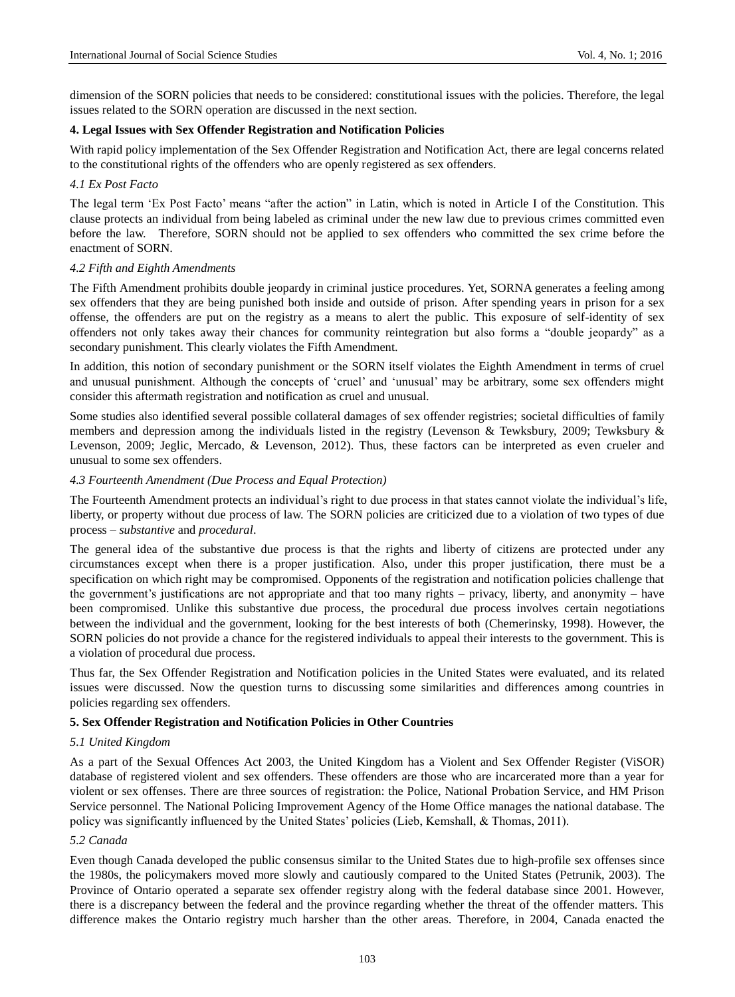dimension of the SORN policies that needs to be considered: constitutional issues with the policies. Therefore, the legal issues related to the SORN operation are discussed in the next section.

#### **4. Legal Issues with Sex Offender Registration and Notification Policies**

With rapid policy implementation of the Sex Offender Registration and Notification Act, there are legal concerns related to the constitutional rights of the offenders who are openly registered as sex offenders.

### *4.1 Ex Post Facto*

The legal term "Ex Post Facto" means "after the action" in Latin, which is noted in Article I of the Constitution. This clause protects an individual from being labeled as criminal under the new law due to previous crimes committed even before the law. Therefore, SORN should not be applied to sex offenders who committed the sex crime before the enactment of SORN.

#### *4.2 Fifth and Eighth Amendments*

The Fifth Amendment prohibits double jeopardy in criminal justice procedures. Yet, SORNA generates a feeling among sex offenders that they are being punished both inside and outside of prison. After spending years in prison for a sex offense, the offenders are put on the registry as a means to alert the public. This exposure of self-identity of sex offenders not only takes away their chances for community reintegration but also forms a "double jeopardy" as a secondary punishment. This clearly violates the Fifth Amendment.

In addition, this notion of secondary punishment or the SORN itself violates the Eighth Amendment in terms of cruel and unusual punishment. Although the concepts of "cruel" and "unusual" may be arbitrary, some sex offenders might consider this aftermath registration and notification as cruel and unusual.

Some studies also identified several possible collateral damages of sex offender registries; societal difficulties of family members and depression among the individuals listed in the registry (Levenson & Tewksbury, 2009; Tewksbury & Levenson, 2009; Jeglic, Mercado, & Levenson, 2012). Thus, these factors can be interpreted as even crueler and unusual to some sex offenders.

#### *4.3 Fourteenth Amendment (Due Process and Equal Protection)*

The Fourteenth Amendment protects an individual's right to due process in that states cannot violate the individual's life, liberty, or property without due process of law. The SORN policies are criticized due to a violation of two types of due process – *substantive* and *procedural*.

The general idea of the substantive due process is that the rights and liberty of citizens are protected under any circumstances except when there is a proper justification. Also, under this proper justification, there must be a specification on which right may be compromised. Opponents of the registration and notification policies challenge that the government's justifications are not appropriate and that too many rights – privacy, liberty, and anonymity – have been compromised. Unlike this substantive due process, the procedural due process involves certain negotiations between the individual and the government, looking for the best interests of both (Chemerinsky, 1998). However, the SORN policies do not provide a chance for the registered individuals to appeal their interests to the government. This is a violation of procedural due process.

Thus far, the Sex Offender Registration and Notification policies in the United States were evaluated, and its related issues were discussed. Now the question turns to discussing some similarities and differences among countries in policies regarding sex offenders.

## **5. Sex Offender Registration and Notification Policies in Other Countries**

#### *5.1 United Kingdom*

As a part of the Sexual Offences Act 2003, the United Kingdom has a Violent and Sex Offender Register (ViSOR) database of registered violent and sex offenders. These offenders are those who are incarcerated more than a year for violent or sex offenses. There are three sources of registration: the Police, National Probation Service, and HM Prison Service personnel. The National Policing Improvement Agency of the Home Office manages the national database. The policy was significantly influenced by the United States" policies (Lieb, Kemshall, & Thomas, 2011).

#### *5.2 Canada*

Even though Canada developed the public consensus similar to the United States due to high-profile sex offenses since the 1980s, the policymakers moved more slowly and cautiously compared to the United States (Petrunik, 2003). The Province of Ontario operated a separate sex offender registry along with the federal database since 2001. However, there is a discrepancy between the federal and the province regarding whether the threat of the offender matters. This difference makes the Ontario registry much harsher than the other areas. Therefore, in 2004, Canada enacted the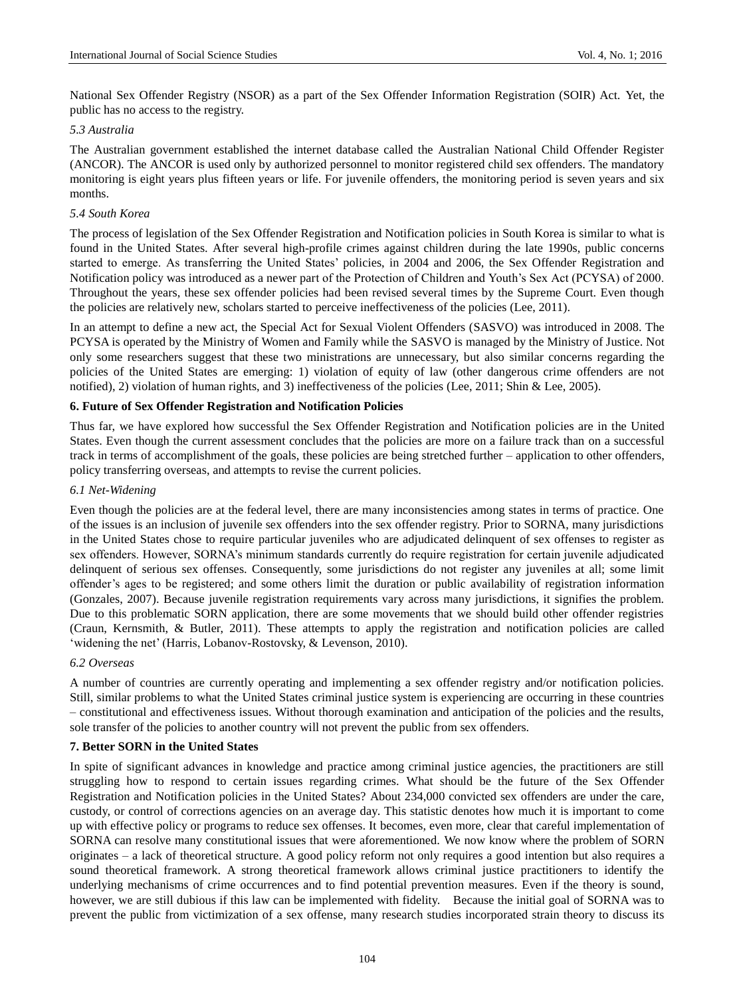National Sex Offender Registry (NSOR) as a part of the Sex Offender Information Registration (SOIR) Act. Yet, the public has no access to the registry.

#### *5.3 Australia*

The Australian government established the internet database called the Australian National Child Offender Register (ANCOR). The ANCOR is used only by authorized personnel to monitor registered child sex offenders. The mandatory monitoring is eight years plus fifteen years or life. For juvenile offenders, the monitoring period is seven years and six months.

#### *5.4 South Korea*

The process of legislation of the Sex Offender Registration and Notification policies in South Korea is similar to what is found in the United States. After several high-profile crimes against children during the late 1990s, public concerns started to emerge. As transferring the United States" policies, in 2004 and 2006, the Sex Offender Registration and Notification policy was introduced as a newer part of the Protection of Children and Youth's Sex Act (PCYSA) of 2000. Throughout the years, these sex offender policies had been revised several times by the Supreme Court. Even though the policies are relatively new, scholars started to perceive ineffectiveness of the policies (Lee, 2011).

In an attempt to define a new act, the Special Act for Sexual Violent Offenders (SASVO) was introduced in 2008. The PCYSA is operated by the Ministry of Women and Family while the SASVO is managed by the Ministry of Justice. Not only some researchers suggest that these two ministrations are unnecessary, but also similar concerns regarding the policies of the United States are emerging: 1) violation of equity of law (other dangerous crime offenders are not notified), 2) violation of human rights, and 3) ineffectiveness of the policies (Lee, 2011; Shin & Lee, 2005).

#### **6. Future of Sex Offender Registration and Notification Policies**

Thus far, we have explored how successful the Sex Offender Registration and Notification policies are in the United States. Even though the current assessment concludes that the policies are more on a failure track than on a successful track in terms of accomplishment of the goals, these policies are being stretched further – application to other offenders, policy transferring overseas, and attempts to revise the current policies.

#### *6.1 Net-Widening*

Even though the policies are at the federal level, there are many inconsistencies among states in terms of practice. One of the issues is an inclusion of juvenile sex offenders into the sex offender registry. Prior to SORNA, many jurisdictions in the United States chose to require particular juveniles who are adjudicated delinquent of sex offenses to register as sex offenders. However, SORNA"s minimum standards currently do require registration for certain juvenile adjudicated delinquent of serious sex offenses. Consequently, some jurisdictions do not register any juveniles at all; some limit offender"s ages to be registered; and some others limit the duration or public availability of registration information (Gonzales, 2007). Because juvenile registration requirements vary across many jurisdictions, it signifies the problem. Due to this problematic SORN application, there are some movements that we should build other offender registries (Craun, Kernsmith, & Butler, 2011). These attempts to apply the registration and notification policies are called 'widening the net' (Harris, Lobanov-Rostovsky, & Levenson, 2010).

#### *6.2 Overseas*

A number of countries are currently operating and implementing a sex offender registry and/or notification policies. Still, similar problems to what the United States criminal justice system is experiencing are occurring in these countries – constitutional and effectiveness issues. Without thorough examination and anticipation of the policies and the results, sole transfer of the policies to another country will not prevent the public from sex offenders.

### **7. Better SORN in the United States**

In spite of significant advances in knowledge and practice among criminal justice agencies, the practitioners are still struggling how to respond to certain issues regarding crimes. What should be the future of the Sex Offender Registration and Notification policies in the United States? About 234,000 convicted sex offenders are under the care, custody, or control of corrections agencies on an average day. This statistic denotes how much it is important to come up with effective policy or programs to reduce sex offenses. It becomes, even more, clear that careful implementation of SORNA can resolve many constitutional issues that were aforementioned. We now know where the problem of SORN originates – a lack of theoretical structure. A good policy reform not only requires a good intention but also requires a sound theoretical framework. A strong theoretical framework allows criminal justice practitioners to identify the underlying mechanisms of crime occurrences and to find potential prevention measures. Even if the theory is sound, however, we are still dubious if this law can be implemented with fidelity. Because the initial goal of SORNA was to prevent the public from victimization of a sex offense, many research studies incorporated strain theory to discuss its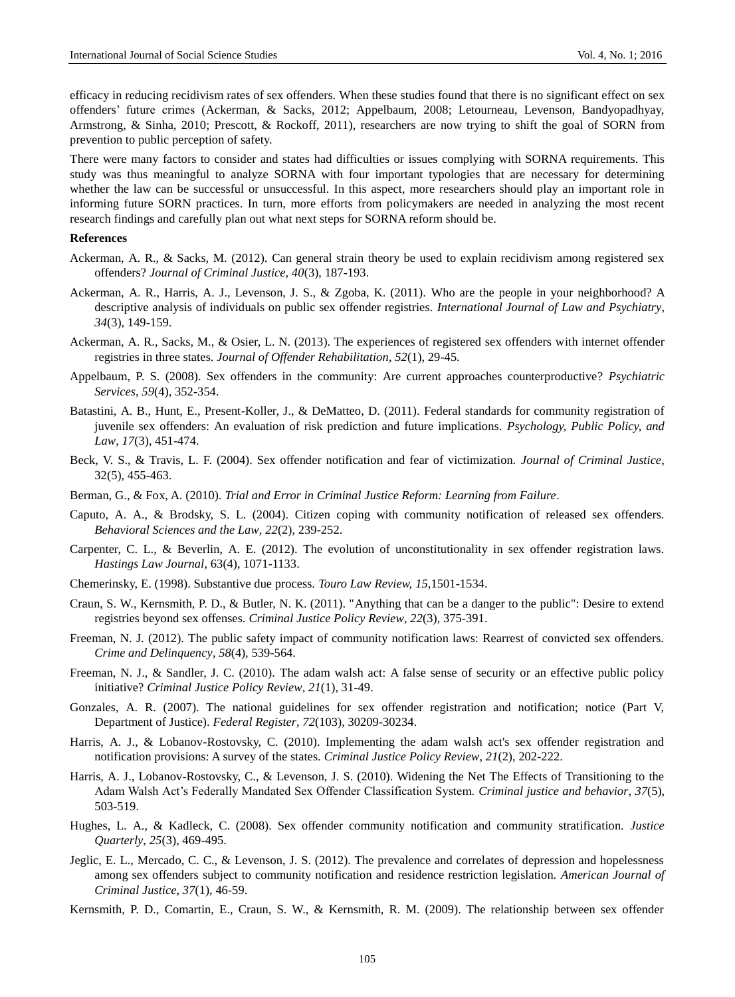efficacy in reducing recidivism rates of sex offenders. When these studies found that there is no significant effect on sex offenders" future crimes (Ackerman, & Sacks, 2012; Appelbaum, 2008; Letourneau, Levenson, Bandyopadhyay, Armstrong, & Sinha, 2010; Prescott, & Rockoff, 2011), researchers are now trying to shift the goal of SORN from prevention to public perception of safety.

There were many factors to consider and states had difficulties or issues complying with SORNA requirements. This study was thus meaningful to analyze SORNA with four important typologies that are necessary for determining whether the law can be successful or unsuccessful. In this aspect, more researchers should play an important role in informing future SORN practices. In turn, more efforts from policymakers are needed in analyzing the most recent research findings and carefully plan out what next steps for SORNA reform should be.

#### **References**

- Ackerman, A. R., & Sacks, M. (2012). Can general strain theory be used to explain recidivism among registered sex offenders? *Journal of Criminal Justice, 40*(3), 187-193.
- Ackerman, A. R., Harris, A. J., Levenson, J. S., & Zgoba, K. (2011). Who are the people in your neighborhood? A descriptive analysis of individuals on public sex offender registries. *International Journal of Law and Psychiatry*, *34*(3), 149-159.
- Ackerman, A. R., Sacks, M., & Osier, L. N. (2013). The experiences of registered sex offenders with internet offender registries in three states. *Journal of Offender Rehabilitation*, *52*(1), 29-45.
- Appelbaum, P. S. (2008). Sex offenders in the community: Are current approaches counterproductive? *Psychiatric Services*, *59*(4), 352-354.
- Batastini, A. B., Hunt, E., Present-Koller, J., & DeMatteo, D. (2011). Federal standards for community registration of juvenile sex offenders: An evaluation of risk prediction and future implications. *Psychology, Public Policy, and Law*, *17*(3), 451-474.
- Beck, V. S., & Travis, L. F. (2004). Sex offender notification and fear of victimization. *Journal of Criminal Justice*, 32(5), 455-463.
- Berman, G., & Fox, A. (2010). *Trial and Error in Criminal Justice Reform: Learning from Failure*.
- Caputo, A. A., & Brodsky, S. L. (2004). Citizen coping with community notification of released sex offenders. *Behavioral Sciences and the Law*, *22*(2), 239-252.
- Carpenter, C. L., & Beverlin, A. E. (2012). The evolution of unconstitutionality in sex offender registration laws. *Hastings Law Journal*, 63(4), 1071-1133.
- Chemerinsky, E. (1998). Substantive due process. *Touro Law Review, 15*,1501-1534.
- Craun, S. W., Kernsmith, P. D., & Butler, N. K. (2011). "Anything that can be a danger to the public": Desire to extend registries beyond sex offenses. *Criminal Justice Policy Review*, *22*(3), 375-391.
- Freeman, N. J. (2012). The public safety impact of community notification laws: Rearrest of convicted sex offenders. *Crime and Delinquency*, *58*(4), 539-564.
- Freeman, N. J., & Sandler, J. C. (2010). The adam walsh act: A false sense of security or an effective public policy initiative? *Criminal Justice Policy Review*, *21*(1), 31-49.
- Gonzales, A. R. (2007). The national guidelines for sex offender registration and notification; notice (Part V, Department of Justice). *Federal Register*, *72*(103), 30209-30234.
- Harris, A. J., & Lobanov-Rostovsky, C. (2010). Implementing the adam walsh act's sex offender registration and notification provisions: A survey of the states. *Criminal Justice Policy Review*, *21*(2), 202-222.
- Harris, A. J., Lobanov-Rostovsky, C., & Levenson, J. S. (2010). Widening the Net The Effects of Transitioning to the Adam Walsh Act"s Federally Mandated Sex Offender Classification System. *Criminal justice and behavior*, *37*(5), 503-519.
- Hughes, L. A., & Kadleck, C. (2008). Sex offender community notification and community stratification. *Justice Quarterly*, *25*(3), 469-495.
- Jeglic, E. L., Mercado, C. C., & Levenson, J. S. (2012). The prevalence and correlates of depression and hopelessness among sex offenders subject to community notification and residence restriction legislation. *American Journal of Criminal Justice*, *37*(1), 46-59.
- Kernsmith, P. D., Comartin, E., Craun, S. W., & Kernsmith, R. M. (2009). The relationship between sex offender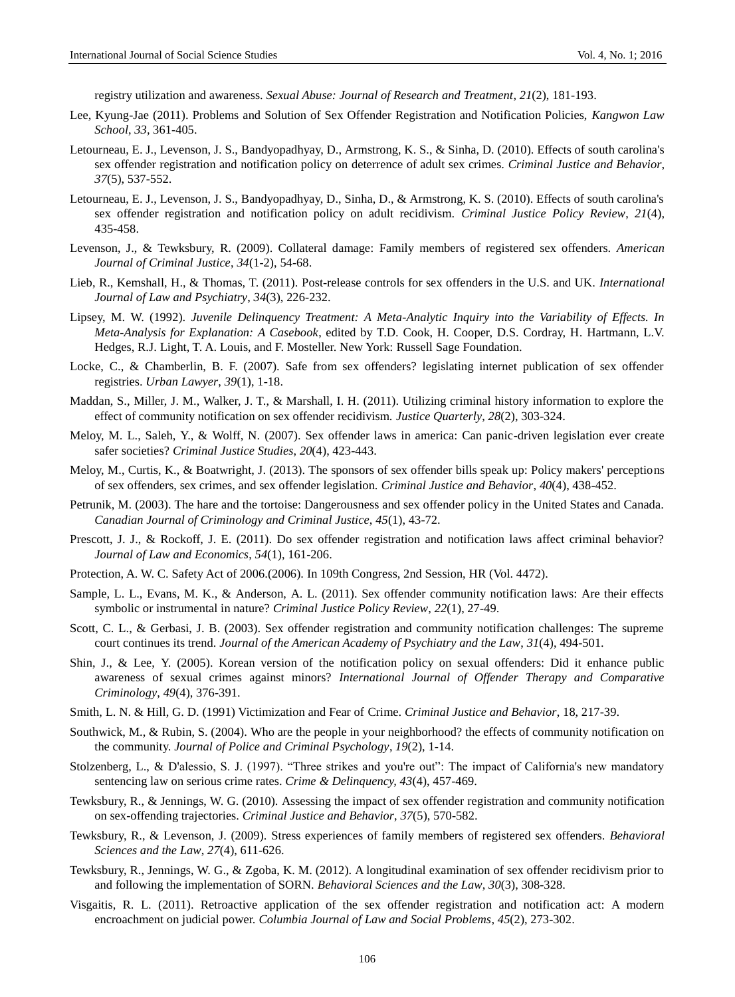registry utilization and awareness. *Sexual Abuse: Journal of Research and Treatment*, *21*(2), 181-193.

- Lee, Kyung-Jae (2011). Problems and Solution of Sex Offender Registration and Notification Policies, *Kangwon Law School*, *33,* 361-405.
- Letourneau, E. J., Levenson, J. S., Bandyopadhyay, D., Armstrong, K. S., & Sinha, D. (2010). Effects of south carolina's sex offender registration and notification policy on deterrence of adult sex crimes. *Criminal Justice and Behavior*, *37*(5), 537-552.
- Letourneau, E. J., Levenson, J. S., Bandyopadhyay, D., Sinha, D., & Armstrong, K. S. (2010). Effects of south carolina's sex offender registration and notification policy on adult recidivism. *Criminal Justice Policy Review*, *21*(4), 435-458.
- Levenson, J., & Tewksbury, R. (2009). Collateral damage: Family members of registered sex offenders. *American Journal of Criminal Justice*, *34*(1-2), 54-68.
- Lieb, R., Kemshall, H., & Thomas, T. (2011). Post-release controls for sex offenders in the U.S. and UK. *International Journal of Law and Psychiatry*, *34*(3), 226-232.
- Lipsey, M. W. (1992). *Juvenile Delinquency Treatment: A Meta-Analytic Inquiry into the Variability of Effects. In Meta-Analysis for Explanation: A Casebook*, edited by T.D. Cook, H. Cooper, D.S. Cordray, H. Hartmann, L.V. Hedges, R.J. Light, T. A. Louis, and F. Mosteller. New York: Russell Sage Foundation.
- Locke, C., & Chamberlin, B. F. (2007). Safe from sex offenders? legislating internet publication of sex offender registries. *Urban Lawyer*, *39*(1), 1-18.
- Maddan, S., Miller, J. M., Walker, J. T., & Marshall, I. H. (2011). Utilizing criminal history information to explore the effect of community notification on sex offender recidivism. *Justice Quarterly*, *28*(2), 303-324.
- Meloy, M. L., Saleh, Y., & Wolff, N. (2007). Sex offender laws in america: Can panic-driven legislation ever create safer societies? *Criminal Justice Studies*, *20*(4), 423-443.
- Meloy, M., Curtis, K., & Boatwright, J. (2013). The sponsors of sex offender bills speak up: Policy makers' perceptions of sex offenders, sex crimes, and sex offender legislation. *Criminal Justice and Behavior*, *40*(4), 438-452.
- Petrunik, M. (2003). The hare and the tortoise: Dangerousness and sex offender policy in the United States and Canada. *Canadian Journal of Criminology and Criminal Justice*, *45*(1), 43-72.
- Prescott, J. J., & Rockoff, J. E. (2011). Do sex offender registration and notification laws affect criminal behavior? *Journal of Law and Economics*, *54*(1), 161-206.
- Protection, A. W. C. Safety Act of 2006.(2006). In 109th Congress, 2nd Session, HR (Vol. 4472).
- Sample, L. L., Evans, M. K., & Anderson, A. L. (2011). Sex offender community notification laws: Are their effects symbolic or instrumental in nature? *Criminal Justice Policy Review*, *22*(1), 27-49.
- Scott, C. L., & Gerbasi, J. B. (2003). Sex offender registration and community notification challenges: The supreme court continues its trend. *Journal of the American Academy of Psychiatry and the Law*, *31*(4), 494-501.
- Shin, J., & Lee, Y. (2005). Korean version of the notification policy on sexual offenders: Did it enhance public awareness of sexual crimes against minors? *International Journal of Offender Therapy and Comparative Criminology*, *49*(4), 376-391.
- Smith, L. N. & Hill, G. D. (1991) Victimization and Fear of Crime. *Criminal Justice and Behavior*, 18, 217-39.
- Southwick, M., & Rubin, S. (2004). Who are the people in your neighborhood? the effects of community notification on the community. *Journal of Police and Criminal Psychology*, *19*(2), 1-14.
- Stolzenberg, L., & D'alessio, S. J. (1997). "Three strikes and you're out": The impact of California's new mandatory sentencing law on serious crime rates. *Crime & Delinquency, 43*(4), 457-469.
- Tewksbury, R., & Jennings, W. G. (2010). Assessing the impact of sex offender registration and community notification on sex-offending trajectories. *Criminal Justice and Behavior*, *37*(5), 570-582.
- Tewksbury, R., & Levenson, J. (2009). Stress experiences of family members of registered sex offenders. *Behavioral Sciences and the Law*, *27*(4), 611-626.
- Tewksbury, R., Jennings, W. G., & Zgoba, K. M. (2012). A longitudinal examination of sex offender recidivism prior to and following the implementation of SORN. *Behavioral Sciences and the Law*, *30*(3), 308-328.
- Visgaitis, R. L. (2011). Retroactive application of the sex offender registration and notification act: A modern encroachment on judicial power. *Columbia Journal of Law and Social Problems*, *45*(2), 273-302.